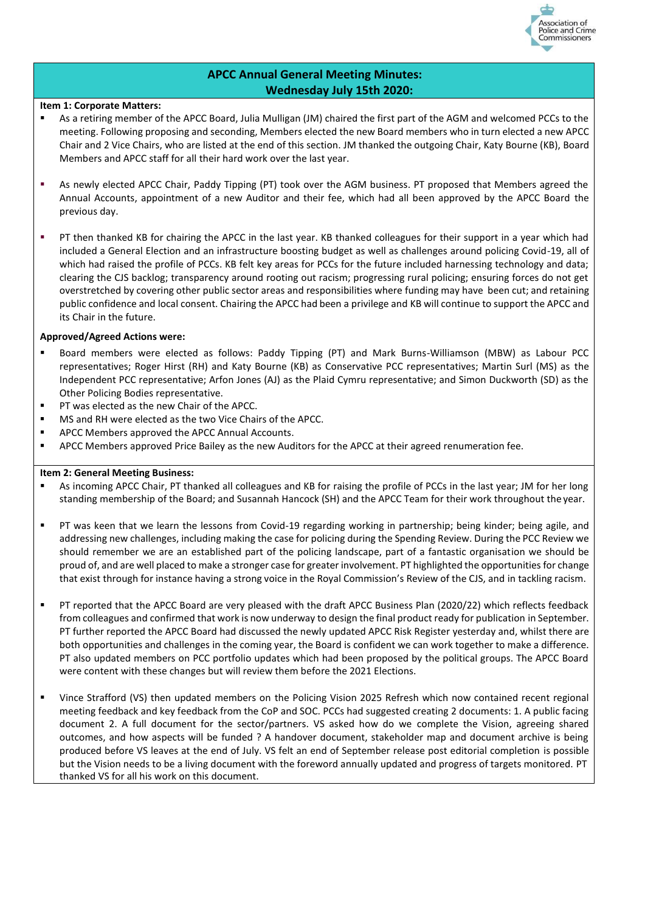

### **APCC Annual General Meeting Minutes: Wednesday July 15th 2020:**

#### **Item 1: Corporate Matters:**

- As a retiring member of the APCC Board, Julia Mulligan (JM) chaired the first part of the AGM and welcomed PCCs to the meeting. Following proposing and seconding, Members elected the new Board members who in turn elected a new APCC Chair and 2 Vice Chairs, who are listed at the end of this section. JM thanked the outgoing Chair, Katy Bourne (KB), Board Members and APCC staff for all their hard work over the last year.
- As newly elected APCC Chair, Paddy Tipping (PT) took over the AGM business. PT proposed that Members agreed the Annual Accounts, appointment of a new Auditor and their fee, which had all been approved by the APCC Board the previous day.
- PT then thanked KB for chairing the APCC in the last year. KB thanked colleagues for their support in a year which had included a General Election and an infrastructure boosting budget as well as challenges around policing Covid-19, all of which had raised the profile of PCCs. KB felt key areas for PCCs for the future included harnessing technology and data; clearing the CJS backlog; transparency around rooting out racism; progressing rural policing; ensuring forces do not get overstretched by covering other public sector areas and responsibilities where funding may have been cut; and retaining public confidence and local consent. Chairing the APCC had been a privilege and KB will continue to support the APCC and its Chair in the future.

#### **Approved/Agreed Actions were:**

- Board members were elected as follows: Paddy Tipping (PT) and Mark Burns-Williamson (MBW) as Labour PCC representatives; Roger Hirst (RH) and Katy Bourne (KB) as Conservative PCC representatives; Martin Surl (MS) as the Independent PCC representative; Arfon Jones (AJ) as the Plaid Cymru representative; and Simon Duckworth (SD) as the Other Policing Bodies representative.
- PT was elected as the new Chair of the APCC.
- MS and RH were elected as the two Vice Chairs of the APCC.
- APCC Members approved the APCC Annual Accounts.
- **APCC Members approved Price Bailey as the new Auditors for the APCC at their agreed renumeration fee.**

#### **Item 2: General Meeting Business:**

- As incoming APCC Chair, PT thanked all colleagues and KB for raising the profile of PCCs in the last year; JM for her long standing membership of the Board; and Susannah Hancock (SH) and the APCC Team for their work throughout the year.
- PT was keen that we learn the lessons from Covid-19 regarding working in partnership; being kinder; being agile, and addressing new challenges, including making the case for policing during the Spending Review. During the PCC Review we should remember we are an established part of the policing landscape, part of a fantastic organisation we should be proud of, and are well placed to make a stronger case for greater involvement. PT highlighted the opportunities for change that exist through for instance having a strong voice in the Royal Commission's Review of the CJS, and in tackling racism.
- PT reported that the APCC Board are very pleased with the draft APCC Business Plan (2020/22) which reflects feedback from colleagues and confirmed that work is now underway to design the final product ready for publication in September. PT further reported the APCC Board had discussed the newly updated APCC Risk Register yesterday and, whilst there are both opportunities and challenges in the coming year, the Board is confident we can work together to make a difference. PT also updated members on PCC portfolio updates which had been proposed by the political groups. The APCC Board were content with these changes but will review them before the 2021 Elections.
- Vince Strafford (VS) then updated members on the Policing Vision 2025 Refresh which now contained recent regional meeting feedback and key feedback from the CoP and SOC. PCCs had suggested creating 2 documents: 1. A public facing document 2. A full document for the sector/partners. VS asked how do we complete the Vision, agreeing shared outcomes, and how aspects will be funded ? A handover document, stakeholder map and document archive is being produced before VS leaves at the end of July. VS felt an end of September release post editorial completion is possible but the Vision needs to be a living document with the foreword annually updated and progress of targets monitored. PT thanked VS for all his work on this document.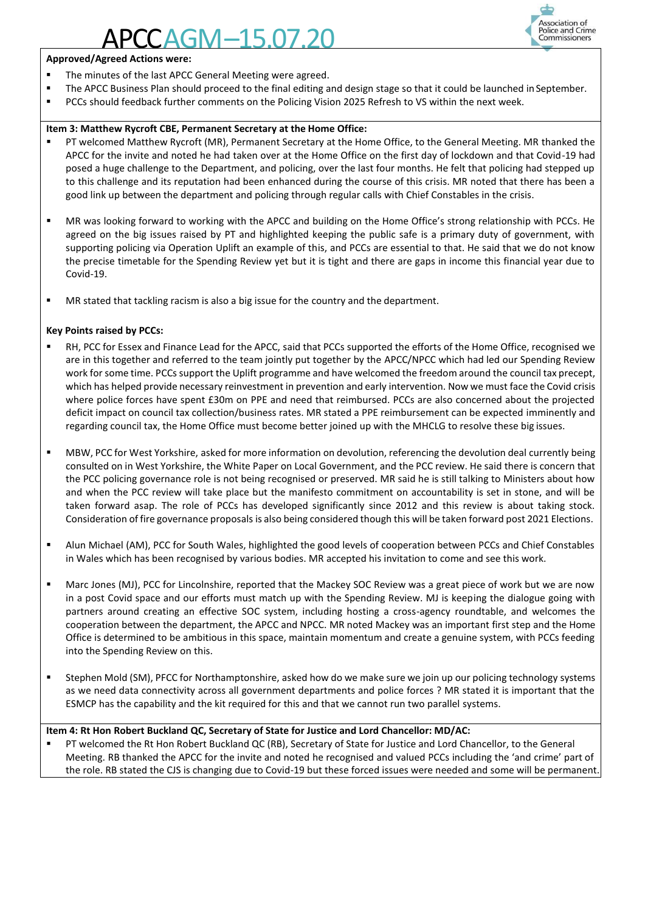## $AGM-15.07.$



#### **Approved/Agreed Actions were:**

- The minutes of the last APCC General Meeting were agreed.
- The APCC Business Plan should proceed to the final editing and design stage so that it could be launched in September.
- **PCCs should feedback further comments on the Policing Vision 2025 Refresh to VS within the next week.**

#### **Item 3: Matthew Rycroft CBE, Permanent Secretary at the Home Office:**

- PT welcomed Matthew Rycroft (MR), Permanent Secretary at the Home Office, to the General Meeting. MR thanked the APCC for the invite and noted he had taken over at the Home Office on the first day of lockdown and that Covid-19 had posed a huge challenge to the Department, and policing, over the last four months. He felt that policing had stepped up to this challenge and its reputation had been enhanced during the course of this crisis. MR noted that there has been a good link up between the department and policing through regular calls with Chief Constables in the crisis.
- MR was looking forward to working with the APCC and building on the Home Office's strong relationship with PCCs. He agreed on the big issues raised by PT and highlighted keeping the public safe is a primary duty of government, with supporting policing via Operation Uplift an example of this, and PCCs are essential to that. He said that we do not know the precise timetable for the Spending Review yet but it is tight and there are gaps in income this financial year due to Covid-19.
- MR stated that tackling racism is also a big issue for the country and the department.

#### **Key Points raised by PCCs:**

- RH, PCC for Essex and Finance Lead for the APCC, said that PCCs supported the efforts of the Home Office, recognised we are in this together and referred to the team jointly put together by the APCC/NPCC which had led our Spending Review work for some time. PCCs support the Uplift programme and have welcomed the freedom around the council tax precept, which has helped provide necessary reinvestment in prevention and early intervention. Now we must face the Covid crisis where police forces have spent £30m on PPE and need that reimbursed. PCCs are also concerned about the projected deficit impact on council tax collection/business rates. MR stated a PPE reimbursement can be expected imminently and regarding council tax, the Home Office must become better joined up with the MHCLG to resolve these big issues.
- MBW, PCC for West Yorkshire, asked for more information on devolution, referencing the devolution deal currently being consulted on in West Yorkshire, the White Paper on Local Government, and the PCC review. He said there is concern that the PCC policing governance role is not being recognised or preserved. MR said he is still talking to Ministers about how and when the PCC review will take place but the manifesto commitment on accountability is set in stone, and will be taken forward asap. The role of PCCs has developed significantly since 2012 and this review is about taking stock. Consideration of fire governance proposals is also being considered though this will be taken forward post 2021 Elections.
- Alun Michael (AM), PCC for South Wales, highlighted the good levels of cooperation between PCCs and Chief Constables in Wales which has been recognised by various bodies. MR accepted his invitation to come and see this work.
- **■** Marc Jones (MJ), PCC for Lincolnshire, reported that the Mackey SOC Review was a great piece of work but we are now in a post Covid space and our efforts must match up with the Spending Review. MJ is keeping the dialogue going with partners around creating an effective SOC system, including hosting a cross-agency roundtable, and welcomes the cooperation between the department, the APCC and NPCC. MR noted Mackey was an important first step and the Home Office is determined to be ambitious in this space, maintain momentum and create a genuine system, with PCCs feeding into the Spending Review on this.
- Stephen Mold (SM), PFCC for Northamptonshire, asked how do we make sure we join up our policing technology systems as we need data connectivity across all government departments and police forces ? MR stated it is important that the ESMCP has the capability and the kit required for this and that we cannot run two parallel systems.

#### **Item 4: Rt Hon Robert Buckland QC, Secretary of State for Justice and Lord Chancellor: MD/AC:**

PT welcomed the Rt Hon Robert Buckland QC (RB), Secretary of State for Justice and Lord Chancellor, to the General Meeting. RB thanked the APCC for the invite and noted he recognised and valued PCCs including the 'and crime' part of the role. RB stated the CJS is changing due to Covid-19 but these forced issues were needed and some will be permanent.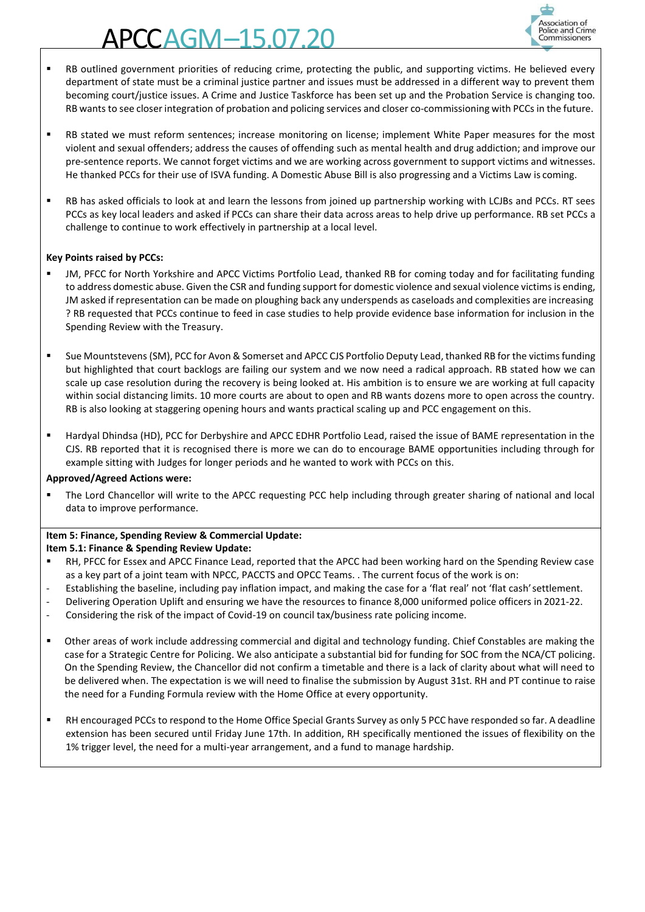# $AGM-15.07$



- RB outlined government priorities of reducing crime, protecting the public, and supporting victims. He believed every department of state must be a criminal justice partner and issues must be addressed in a different way to prevent them becoming court/justice issues. A Crime and Justice Taskforce has been set up and the Probation Service is changing too. RB wants to see closer integration of probation and policing services and closer co-commissioning with PCCs in the future.
- RB stated we must reform sentences; increase monitoring on license; implement White Paper measures for the most violent and sexual offenders; address the causes of offending such as mental health and drug addiction; and improve our pre-sentence reports. We cannot forget victims and we are working across government to support victims and witnesses. He thanked PCCs for their use of ISVA funding. A Domestic Abuse Bill is also progressing and a Victims Law is coming.
- RB has asked officials to look at and learn the lessons from joined up partnership working with LCJBs and PCCs. RT sees PCCs as key local leaders and asked if PCCs can share their data across areas to help drive up performance. RB set PCCs a challenge to continue to work effectively in partnership at a local level.

#### **Key Points raised by PCCs:**

- JM, PFCC for North Yorkshire and APCC Victims Portfolio Lead, thanked RB for coming today and for facilitating funding to address domestic abuse. Given the CSR and funding support for domestic violence and sexual violence victims is ending, JM asked if representation can be made on ploughing back any underspends as caseloads and complexities are increasing ? RB requested that PCCs continue to feed in case studies to help provide evidence base information for inclusion in the Spending Review with the Treasury.
- Sue Mountstevens (SM), PCC for Avon & Somerset and APCC CJS Portfolio Deputy Lead, thanked RB for the victims funding but highlighted that court backlogs are failing our system and we now need a radical approach. RB stated how we can scale up case resolution during the recovery is being looked at. His ambition is to ensure we are working at full capacity within social distancing limits. 10 more courts are about to open and RB wants dozens more to open across the country. RB is also looking at staggering opening hours and wants practical scaling up and PCC engagement on this.
- Hardyal Dhindsa (HD), PCC for Derbyshire and APCC EDHR Portfolio Lead, raised the issue of BAME representation in the CJS. RB reported that it is recognised there is more we can do to encourage BAME opportunities including through for example sitting with Judges for longer periods and he wanted to work with PCCs on this.

#### **Approved/Agreed Actions were:**

The Lord Chancellor will write to the APCC requesting PCC help including through greater sharing of national and local data to improve performance.

#### **Item 5: Finance, Spending Review & Commercial Update:**

#### **Item 5.1: Finance & Spending Review Update:**

- RH, PFCC for Essex and APCC Finance Lead, reported that the APCC had been working hard on the Spending Review case as a key part of a joint team with NPCC, PACCTS and OPCC Teams. . The current focus of the work is on:
- Establishing the baseline, including pay inflation impact, and making the case for a 'flat real' not 'flat cash' settlement.
- Delivering Operation Uplift and ensuring we have the resources to finance 8,000 uniformed police officers in 2021-22.
- Considering the risk of the impact of Covid-19 on council tax/business rate policing income.
- Other areas of work include addressing commercial and digital and technology funding. Chief Constables are making the case for a Strategic Centre for Policing. We also anticipate a substantial bid for funding for SOC from the NCA/CT policing. On the Spending Review, the Chancellor did not confirm a timetable and there is a lack of clarity about what will need to be delivered when. The expectation is we will need to finalise the submission by August 31st. RH and PT continue to raise the need for a Funding Formula review with the Home Office at every opportunity.
- RH encouraged PCCs to respond to the Home Office Special Grants Survey as only 5 PCC have responded so far. A deadline extension has been secured until Friday June 17th. In addition, RH specifically mentioned the issues of flexibility on the 1% trigger level, the need for a multi-year arrangement, and a fund to manage hardship.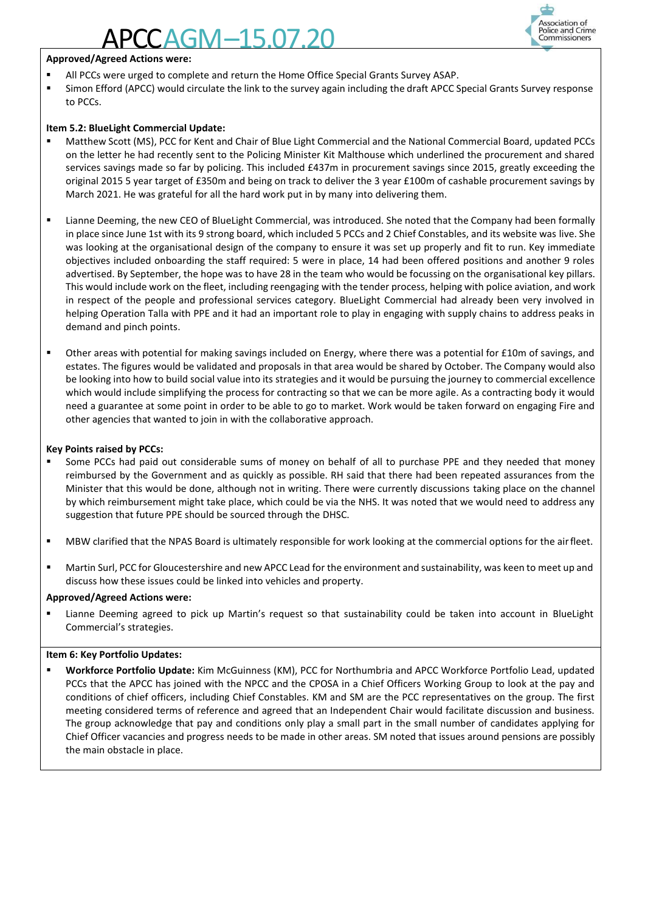## AGM–15.0



#### **Approved/Agreed Actions were:**

- All PCCs were urged to complete and return the Home Office Special Grants Survey ASAP.
- **EXECT** Simon Efford (APCC) would circulate the link to the survey again including the draft APCC Special Grants Survey response to PCCs.

#### **Item 5.2: BlueLight Commercial Update:**

- Matthew Scott (MS), PCC for Kent and Chair of Blue Light Commercial and the National Commercial Board, updated PCCs on the letter he had recently sent to the Policing Minister Kit Malthouse which underlined the procurement and shared services savings made so far by policing. This included £437m in procurement savings since 2015, greatly exceeding the original 2015 5 year target of £350m and being on track to deliver the 3 year £100m of cashable procurement savings by March 2021. He was grateful for all the hard work put in by many into delivering them.
- Lianne Deeming, the new CEO of BlueLight Commercial, was introduced. She noted that the Company had been formally in place since June 1st with its 9 strong board, which included 5 PCCs and 2 Chief Constables, and its website was live. She was looking at the organisational design of the company to ensure it was set up properly and fit to run. Key immediate objectives included onboarding the staff required: 5 were in place, 14 had been offered positions and another 9 roles advertised. By September, the hope was to have 28 in the team who would be focussing on the organisational key pillars. This would include work on the fleet, including reengaging with the tender process, helping with police aviation, and work in respect of the people and professional services category. BlueLight Commercial had already been very involved in helping Operation Talla with PPE and it had an important role to play in engaging with supply chains to address peaks in demand and pinch points.
- Other areas with potential for making savings included on Energy, where there was a potential for £10m of savings, and estates. The figures would be validated and proposals in that area would be shared by October. The Company would also be looking into how to build social value into its strategies and it would be pursuing the journey to commercial excellence which would include simplifying the process for contracting so that we can be more agile. As a contracting body it would need a guarantee at some point in order to be able to go to market. Work would be taken forward on engaging Fire and other agencies that wanted to join in with the collaborative approach.

#### **Key Points raised by PCCs:**

- Some PCCs had paid out considerable sums of money on behalf of all to purchase PPE and they needed that money reimbursed by the Government and as quickly as possible. RH said that there had been repeated assurances from the Minister that this would be done, although not in writing. There were currently discussions taking place on the channel by which reimbursement might take place, which could be via the NHS. It was noted that we would need to address any suggestion that future PPE should be sourced through the DHSC.
- MBW clarified that the NPAS Board is ultimately responsible for work looking at the commercial options for the airfleet.
- Martin Surl, PCC for Gloucestershire and new APCC Lead for the environment and sustainability, was keen to meet up and discuss how these issues could be linked into vehicles and property.

#### **Approved/Agreed Actions were:**

Lianne Deeming agreed to pick up Martin's request so that sustainability could be taken into account in BlueLight Commercial's strategies.

#### **Item 6: Key Portfolio Updates:**

▪ **Workforce Portfolio Update:** Kim McGuinness (KM), PCC for Northumbria and APCC Workforce Portfolio Lead, updated PCCs that the APCC has joined with the NPCC and the CPOSA in a Chief Officers Working Group to look at the pay and conditions of chief officers, including Chief Constables. KM and SM are the PCC representatives on the group. The first meeting considered terms of reference and agreed that an Independent Chair would facilitate discussion and business. The group acknowledge that pay and conditions only play a small part in the small number of candidates applying for Chief Officer vacancies and progress needs to be made in other areas. SM noted that issues around pensions are possibly the main obstacle in place.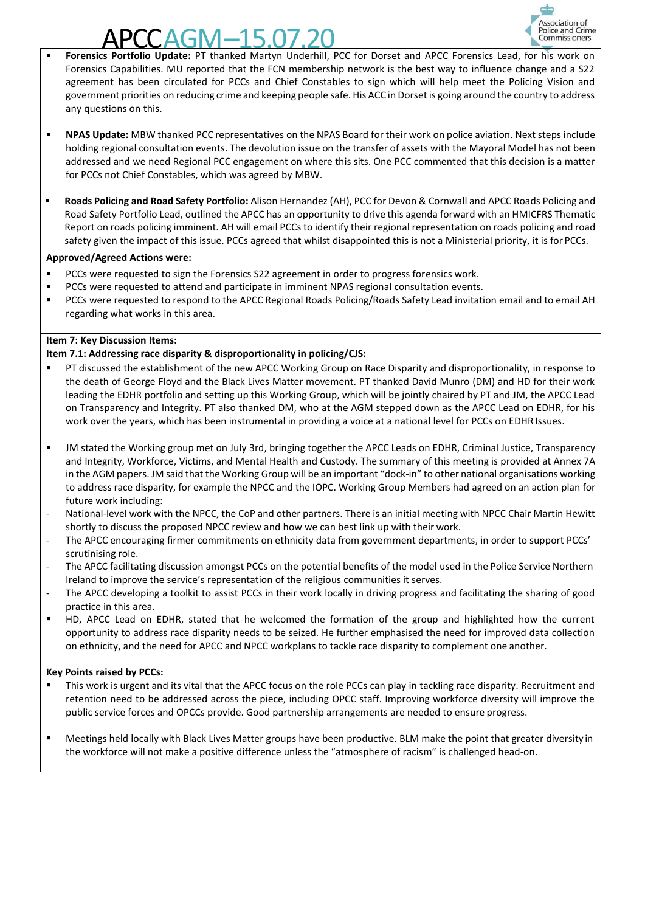

- **APCCAGM–15.07.20 Exercision of Police and Crime**<br> **Forensics Portfolio Update:** PT thanked Martyn Underhill, PCC for Dorset and APCC Forensics Lead, for his work on Forensics Capabilities. MU reported that the FCN membership network is the best way to influence change and a S22 agreement has been circulated for PCCs and Chief Constables to sign which will help meet the Policing Vision and government priorities on reducing crime and keeping people safe. His ACC in Dorset is going around the country to address any questions on this.
- **NPAS Update:** MBW thanked PCC representatives on the NPAS Board for their work on police aviation. Next steps include holding regional consultation events. The devolution issue on the transfer of assets with the Mayoral Model has not been addressed and we need Regional PCC engagement on where this sits. One PCC commented that this decision is a matter for PCCs not Chief Constables, which was agreed by MBW.
- **Roads Policing and Road Safety Portfolio:** Alison Hernandez (AH), PCC for Devon & Cornwall and APCC Roads Policing and Road Safety Portfolio Lead, outlined the APCC has an opportunity to drive this agenda forward with an HMICFRS Thematic Report on roads policing imminent. AH will email PCCs to identify their regional representation on roads policing and road safety given the impact of this issue. PCCs agreed that whilst disappointed this is not a Ministerial priority, it is for PCCs.

#### **Approved/Agreed Actions were:**

- PCCs were requested to sign the Forensics S22 agreement in order to progress forensics work.
- PCCs were requested to attend and participate in imminent NPAS regional consultation events.
- PCCs were requested to respond to the APCC Regional Roads Policing/Roads Safety Lead invitation email and to email AH regarding what works in this area.

#### **Item 7: Key Discussion Items:**

#### **Item 7.1: Addressing race disparity & disproportionality in policing/CJS:**

- PT discussed the establishment of the new APCC Working Group on Race Disparity and disproportionality, in response to the death of George Floyd and the Black Lives Matter movement. PT thanked David Munro (DM) and HD for their work leading the EDHR portfolio and setting up this Working Group, which will be jointly chaired by PT and JM, the APCC Lead on Transparency and Integrity. PT also thanked DM, who at the AGM stepped down as the APCC Lead on EDHR, for his work over the years, which has been instrumental in providing a voice at a national level for PCCs on EDHR Issues.
- JM stated the Working group met on July 3rd, bringing together the APCC Leads on EDHR, Criminal Justice, Transparency and Integrity, Workforce, Victims, and Mental Health and Custody. The summary of this meeting is provided at Annex 7A in the AGM papers. JM said that the Working Group will be an important "dock-in" to other national organisations working to address race disparity, for example the NPCC and the IOPC. Working Group Members had agreed on an action plan for future work including:
- National-level work with the NPCC, the CoP and other partners. There is an initial meeting with NPCC Chair Martin Hewitt shortly to discuss the proposed NPCC review and how we can best link up with their work.
- The APCC encouraging firmer commitments on ethnicity data from government departments, in order to support PCCs' scrutinising role.
- The APCC facilitating discussion amongst PCCs on the potential benefits of the model used in the Police Service Northern Ireland to improve the service's representation of the religious communities it serves.
- The APCC developing a toolkit to assist PCCs in their work locally in driving progress and facilitating the sharing of good practice in this area.
- HD, APCC Lead on EDHR, stated that he welcomed the formation of the group and highlighted how the current opportunity to address race disparity needs to be seized. He further emphasised the need for improved data collection on ethnicity, and the need for APCC and NPCC workplans to tackle race disparity to complement one another.

#### **Key Points raised by PCCs:**

- This work is urgent and its vital that the APCC focus on the role PCCs can play in tackling race disparity. Recruitment and retention need to be addressed across the piece, including OPCC staff. Improving workforce diversity will improve the public service forces and OPCCs provide. Good partnership arrangements are needed to ensure progress.
- Meetings held locally with Black Lives Matter groups have been productive. BLM make the point that greater diversity in the workforce will not make a positive difference unless the "atmosphere of racism" is challenged head-on.